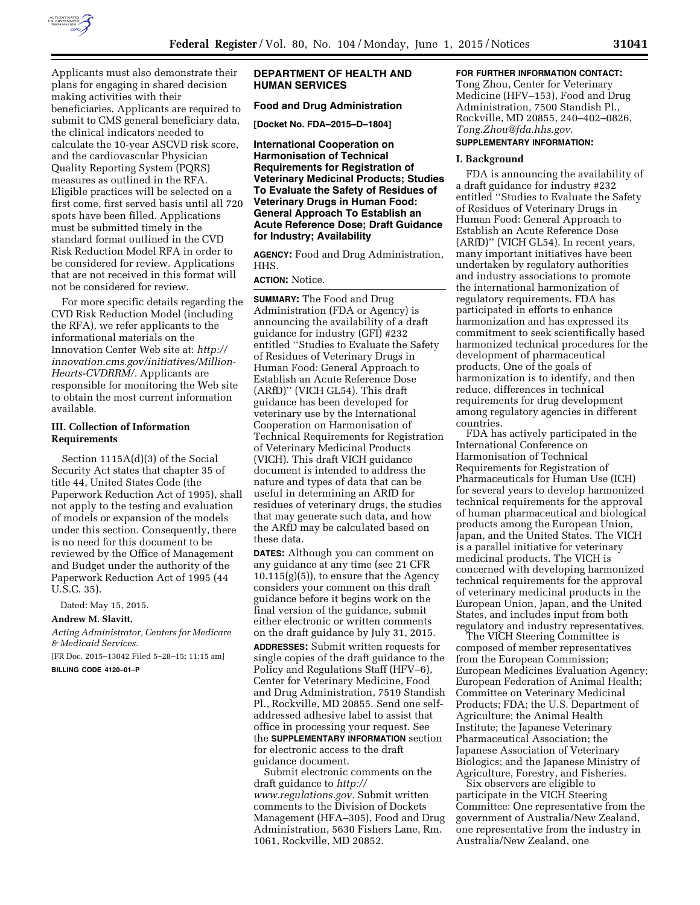

Applicants must also demonstrate their plans for engaging in shared decision making activities with their beneficiaries. Applicants are required to submit to CMS general beneficiary data, the clinical indicators needed to calculate the 10-year ASCVD risk score, and the cardiovascular Physician Quality Reporting System (PQRS) measures as outlined in the RFA. Eligible practices will be selected on a first come, first served basis until all 720 spots have been filled. Applications must be submitted timely in the standard format outlined in the CVD Risk Reduction Model RFA in order to be considered for review. Applications that are not received in this format will not be considered for review.

For more specific details regarding the CVD Risk Reduction Model (including the RFA), we refer applicants to the informational materials on the Innovation Center Web site at: *[http://](http://innovation.cms.gov/initiatives/Million-Hearts-CVDRRM/) [innovation.cms.gov/initiatives/Million-](http://innovation.cms.gov/initiatives/Million-Hearts-CVDRRM/)[Hearts-CVDRRM/.](http://innovation.cms.gov/initiatives/Million-Hearts-CVDRRM/)* Applicants are responsible for monitoring the Web site to obtain the most current information available.

### **III. Collection of Information Requirements**

Section 1115A(d)(3) of the Social Security Act states that chapter 35 of title 44, United States Code (the Paperwork Reduction Act of 1995), shall not apply to the testing and evaluation of models or expansion of the models under this section. Consequently, there is no need for this document to be reviewed by the Office of Management and Budget under the authority of the Paperwork Reduction Act of 1995 (44 U.S.C. 35).

Dated: May 15, 2015.

#### **Andrew M. Slavitt,**

*Acting Administrator, Centers for Medicare & Medicaid Services.* 

[FR Doc. 2015–13042 Filed 5–28–15; 11:15 am]

**BILLING CODE 4120–01–P** 

## **DEPARTMENT OF HEALTH AND HUMAN SERVICES**

## **Food and Drug Administration**

**[Docket No. FDA–2015–D–1804]** 

**International Cooperation on Harmonisation of Technical Requirements for Registration of Veterinary Medicinal Products; Studies To Evaluate the Safety of Residues of Veterinary Drugs in Human Food: General Approach To Establish an Acute Reference Dose; Draft Guidance for Industry; Availability** 

**AGENCY:** Food and Drug Administration, HHS.

## **ACTION:** Notice.

**SUMMARY:** The Food and Drug Administration (FDA or Agency) is announcing the availability of a draft guidance for industry (GFI) #232 entitled ''Studies to Evaluate the Safety of Residues of Veterinary Drugs in Human Food: General Approach to Establish an Acute Reference Dose (ARfD)'' (VICH GL54). This draft guidance has been developed for veterinary use by the International Cooperation on Harmonisation of Technical Requirements for Registration of Veterinary Medicinal Products (VICH). This draft VICH guidance document is intended to address the nature and types of data that can be useful in determining an ARfD for residues of veterinary drugs, the studies that may generate such data, and how the ARfD may be calculated based on these data.

**DATES:** Although you can comment on any guidance at any time (see 21 CFR  $10.115(g)(5)$ , to ensure that the Agency considers your comment on this draft guidance before it begins work on the final version of the guidance, submit either electronic or written comments on the draft guidance by July 31, 2015.

**ADDRESSES:** Submit written requests for single copies of the draft guidance to the Policy and Regulations Staff (HFV–6), Center for Veterinary Medicine, Food and Drug Administration, 7519 Standish Pl., Rockville, MD 20855. Send one selfaddressed adhesive label to assist that office in processing your request. See the **SUPPLEMENTARY INFORMATION** section for electronic access to the draft guidance document.

Submit electronic comments on the draft guidance to *[http://](http://www.regulations.gov) [www.regulations.gov.](http://www.regulations.gov)* Submit written comments to the Division of Dockets Management (HFA–305), Food and Drug Administration, 5630 Fishers Lane, Rm. 1061, Rockville, MD 20852.

## **FOR FURTHER INFORMATION CONTACT:**

Tong Zhou, Center for Veterinary Medicine (HFV–153), Food and Drug Administration, 7500 Standish Pl., Rockville, MD 20855, 240–402–0826, *[Tong.Zhou@fda.hhs.gov.](mailto:Tong.Zhou@fda.hhs.gov)* 

# **SUPPLEMENTARY INFORMATION:**

#### **I. Background**

FDA is announcing the availability of a draft guidance for industry #232 entitled ''Studies to Evaluate the Safety of Residues of Veterinary Drugs in Human Food: General Approach to Establish an Acute Reference Dose (ARfD)'' (VICH GL54). In recent years, many important initiatives have been undertaken by regulatory authorities and industry associations to promote the international harmonization of regulatory requirements. FDA has participated in efforts to enhance harmonization and has expressed its commitment to seek scientifically based harmonized technical procedures for the development of pharmaceutical products. One of the goals of harmonization is to identify, and then reduce, differences in technical requirements for drug development among regulatory agencies in different countries.

FDA has actively participated in the International Conference on Harmonisation of Technical Requirements for Registration of Pharmaceuticals for Human Use (ICH) for several years to develop harmonized technical requirements for the approval of human pharmaceutical and biological products among the European Union, Japan, and the United States. The VICH is a parallel initiative for veterinary medicinal products. The VICH is concerned with developing harmonized technical requirements for the approval of veterinary medicinal products in the European Union, Japan, and the United States, and includes input from both regulatory and industry representatives.

The VICH Steering Committee is composed of member representatives from the European Commission; European Medicines Evaluation Agency; European Federation of Animal Health; Committee on Veterinary Medicinal Products; FDA; the U.S. Department of Agriculture; the Animal Health Institute; the Japanese Veterinary Pharmaceutical Association; the Japanese Association of Veterinary Biologics; and the Japanese Ministry of Agriculture, Forestry, and Fisheries.

Six observers are eligible to participate in the VICH Steering Committee: One representative from the government of Australia/New Zealand, one representative from the industry in Australia/New Zealand, one